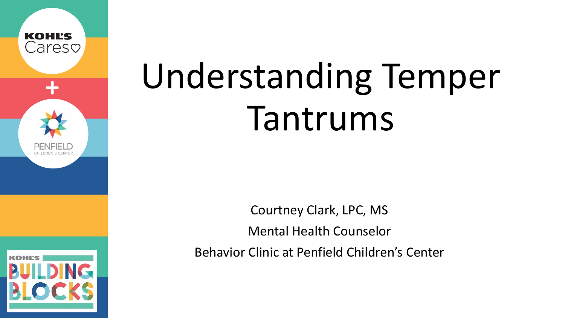

# **<sup>+</sup>** Understanding Temper Tantrums

Courtney Clark, LPC, MS Mental Health Counselor Behavior Clinic at Penfield Children's Center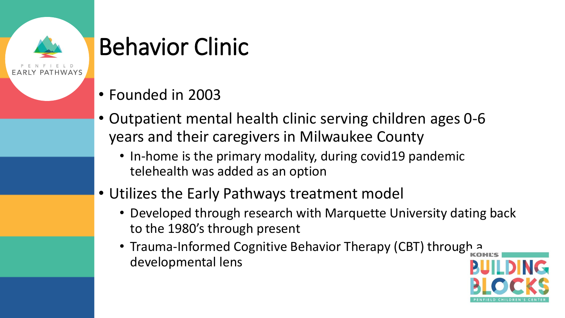

### Behavior Clinic

- Founded in 2003
- Outpatient mental health clinic serving children ages 0-6 years and their caregivers in Milwaukee County
	- In-home is the primary modality, during covid19 pandemic telehealth was added as an option
- Utilizes the Early Pathways treatment model
	- Developed through research with Marquette University dating back to the 1980's through present
	- Trauma-Informed Cognitive Behavior Therapy (CBT) through a developmental lens

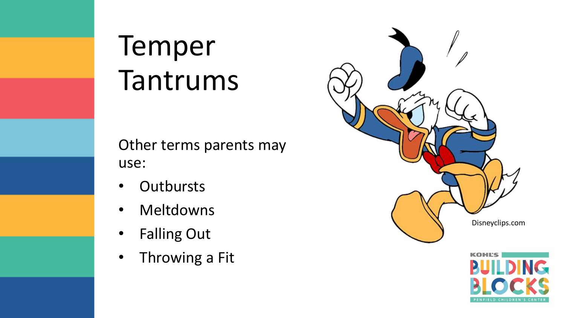### Temper Tantrums

Other terms parents may use:

- Outbursts
- **Meltdowns**
- Falling Out
- Throwing a Fit



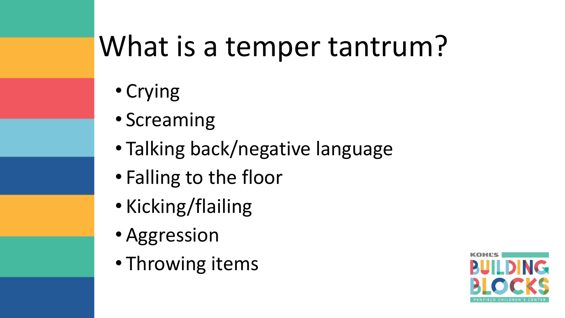## What is a temper tantrum?

- Crying
- Screaming
- Talking back/negative language
- Falling to the floor
- Kicking/flailing
- Aggression
- Throwing items

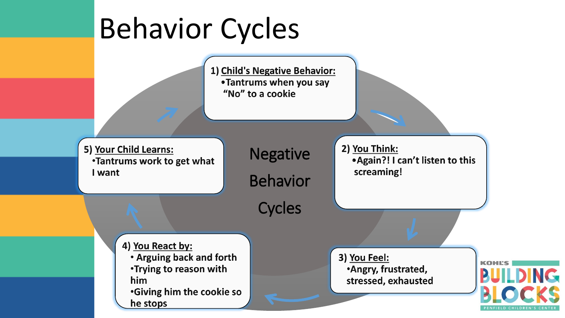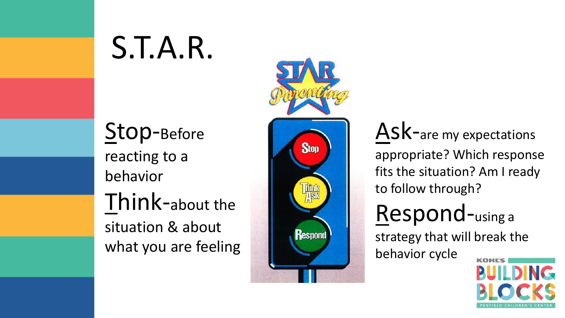## S.T.A.R.

Stop-Before reacting to a behavior Think-about the situation & about what you are feeling



Ask-are my expectations appropriate? Which response fits the situation? Am I ready to follow through?

### Respond-using a

strategy that will break the behavior cycle

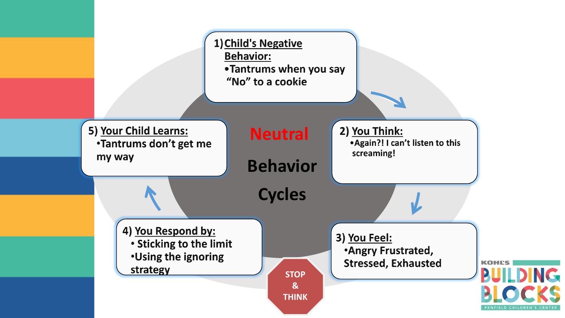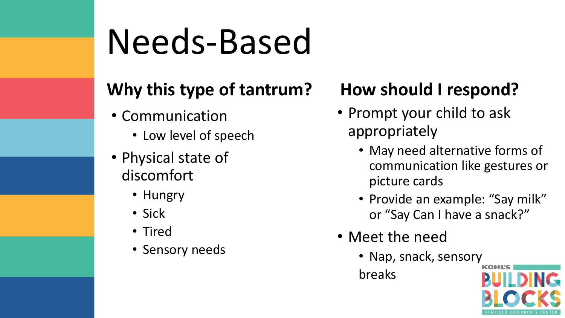# Needs-Based

#### **Why this type of tantrum?**

- Communication
	- Low level of speech
- Physical state of discomfort
	- Hungry
	- Sick
	- Tired
	- Sensory needs

#### **How should I respond?**

- Prompt your child to ask appropriately
	- May need alternative forms of communication like gestures or picture cards
	- Provide an example: "Say milk" or "Say Can I have a snack?"
- Meet the need
	- Nap, snack, sensory

breaks

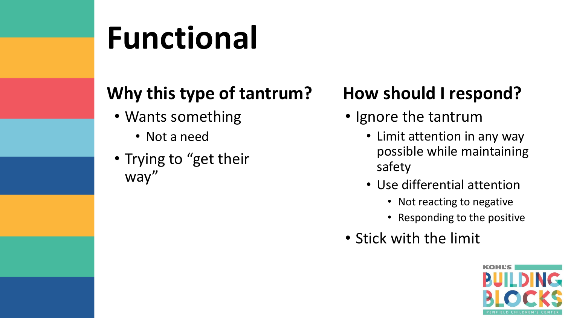## **Functional**

#### **Why this type of tantrum?**

- Wants something
	- Not a need
- Trying to "get their way"

#### **How should I respond?**

- Ignore the tantrum
	- Limit attention in any way possible while maintaining safety
	- Use differential attention
		- Not reacting to negative
		- Responding to the positive
- Stick with the limit

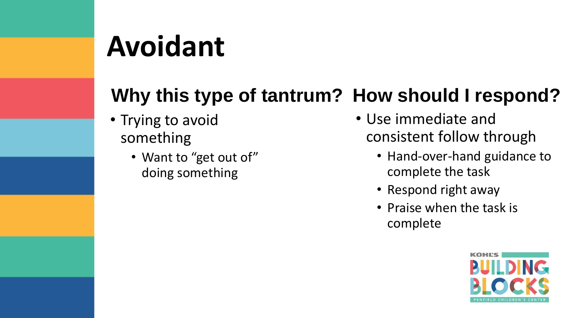## **Avoidant**

#### **Why this type of tantrum? How should I respond?**

- Trying to avoid something
	- Want to "get out of" doing something
- Use immediate and consistent follow through
	- Hand-over-hand guidance to complete the task
	- Respond right away
	- Praise when the task is complete

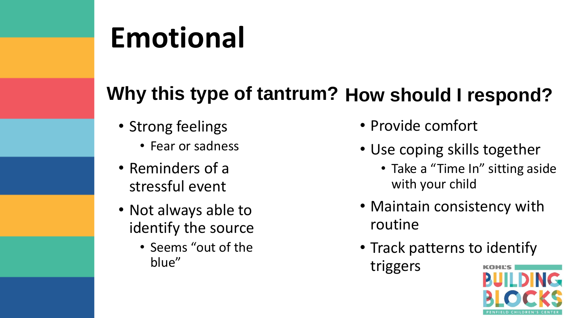## **Emotional**

#### **Why this type of tantrum? How should I respond?**

- Strong feelings
	- Fear or sadness
- Reminders of a stressful event
- Not always able to identify the source
	- Seems "out of the blue"
- Provide comfort
- Use coping skills together
	- Take a "Time In" sitting aside with your child
- Maintain consistency with routine
- Track patterns to identify

triggers

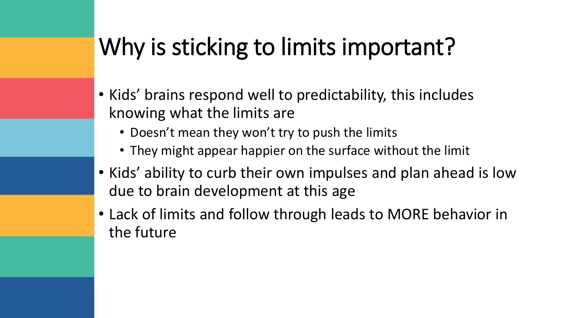### Why is sticking to limits important?

- Kids' brains respond well to predictability, this includes knowing what the limits are
	- Doesn't mean they won't try to push the limits
	- They might appear happier on the surface without the limit
- Kids' ability to curb their own impulses and plan ahead is low due to brain development at this age
- Lack of limits and follow through leads to MORE behavior in the future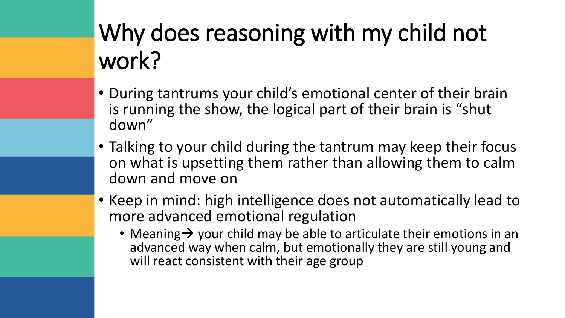### Why does reasoning with my child not work?

- During tantrums your child's emotional center of their brain is running the show, the logical part of their brain is "shut down"
- Talking to your child during the tantrum may keep their focus on what is upsetting them rather than allowing them to calm down and move on
- Keep in mind: high intelligence does not automatically lead to more advanced emotional regulation
	- Meaning  $\rightarrow$  your child may be able to articulate their emotions in an advanced way when calm, but emotionally they are still young and will react consistent with their age group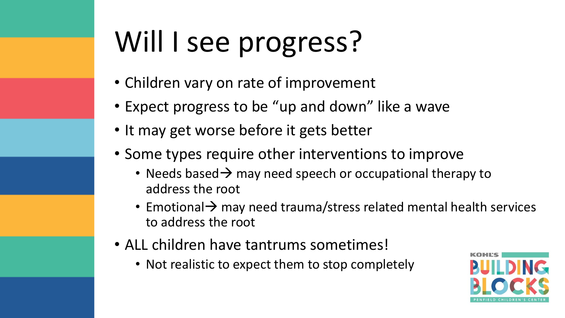## Will I see progress?

- Children vary on rate of improvement
- Expect progress to be "up and down" like a wave
- It may get worse before it gets better
- Some types require other interventions to improve
	- Needs based  $\rightarrow$  may need speech or occupational therapy to address the root
	- Emotional → may need trauma/stress related mental health services to address the root
- ALL children have tantrums sometimes!
	- Not realistic to expect them to stop completely

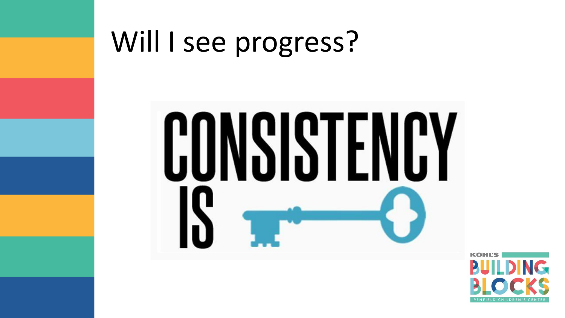

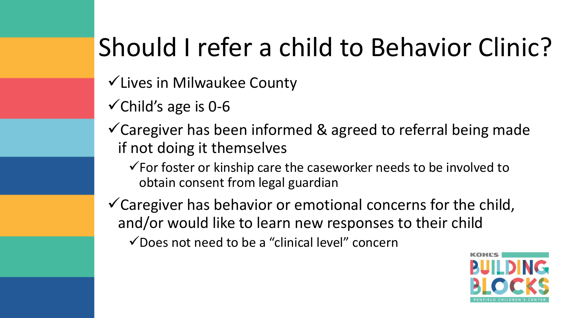### Should I refer a child to Behavior Clinic?

- ✓Lives in Milwaukee County
- $\checkmark$ Child's age is 0-6
- $\checkmark$  Caregiver has been informed & agreed to referral being made if not doing it themselves
	- $\checkmark$  For foster or kinship care the caseworker needs to be involved to obtain consent from legal guardian
- $\checkmark$  Caregiver has behavior or emotional concerns for the child, and/or would like to learn new responses to their child
	- $\checkmark$  Does not need to be a "clinical level" concern

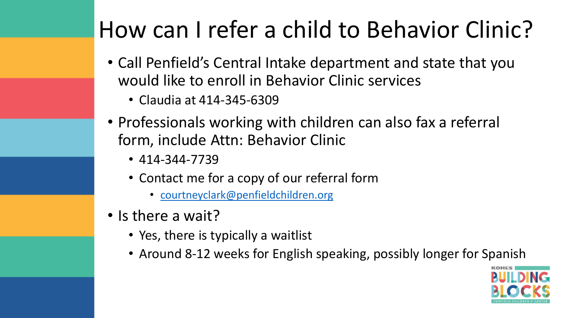### How can I refer a child to Behavior Clinic?

- Call Penfield's Central Intake department and state that you would like to enroll in Behavior Clinic services
	- Claudia at 414-345-6309
- Professionals working with children can also fax a referral form, include Attn: Behavior Clinic
	- 414-344-7739
	- Contact me for a copy of our referral form
		- [courtneyclark@penfieldchildren.org](mailto:courtneyclark@penfieldchildren.org)
- Is there a wait?
	- Yes, there is typically a waitlist
	- Around 8-12 weeks for English speaking, possibly longer for Spanish